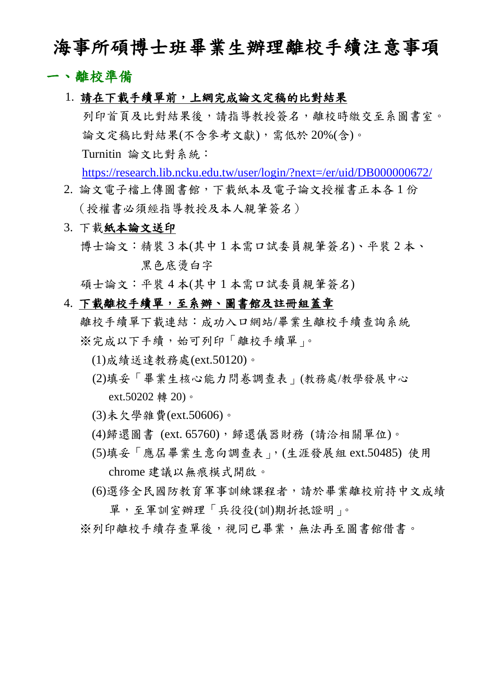## 海事所碩博士班畢業生辦理離校手續注意事項

#### 一、離校準備

1. 請在下載手續單前,上網完成論文定稿的比對結果

 列印首頁及比對結果後,請指導教授簽名,離校時繳交至系圖書室。 論文定稿比對結果(不含參考文獻),需低於 20%(含)。 Turnitin 論文比對系統:

<https://research.lib.ncku.edu.tw/user/login/?next=/er/uid/DB000000672/>

- 2. 論文電子檔上傳圖書館,下載紙本及電子論文授權書正本各 1 份 (授權書必須經指導教授及本人親筆簽名)
- 3. 下載紙本論文送印

博士論文:精裝 3 本(其中 1 本需口試委員親筆簽名)、平裝 2 本、 黑色底湯白字

碩士論文:平裝 4 本(其中 1 本需口試委員親筆簽名)

#### 4. 下載離校手續單,至系辦、圖書館及註冊組蓋章

離校手續單下載連結:成功入口網站/畢業生離校手續查詢系統 ※完成以下手續,始可列印「離校手續單」。

- (1)成績送達教務處(ext.50120)。
- (2)填妥「畢業生核心能力問卷調查表」(教務處/教學發展中心 ext.50202 轉 20)。
- (3)未欠學雜費(ext.50606)。
- (4)歸還圖書 (ext. 65760),歸還儀器財務 (請洽相關單位)。
- (5)填妥「應屆畢業生意向調查表」,(生涯發展組 ext.50485) 使用 chrome 建議以無痕模式開啟。
- (6)選修全民國防教育軍事訓練課程者,請於畢業離校前持中文成績 單,至軍訓室辦理「兵役役(訓)期折抵證明」。

※列印離校手續存查單後,視同已畢業,無法再至圖書館借書。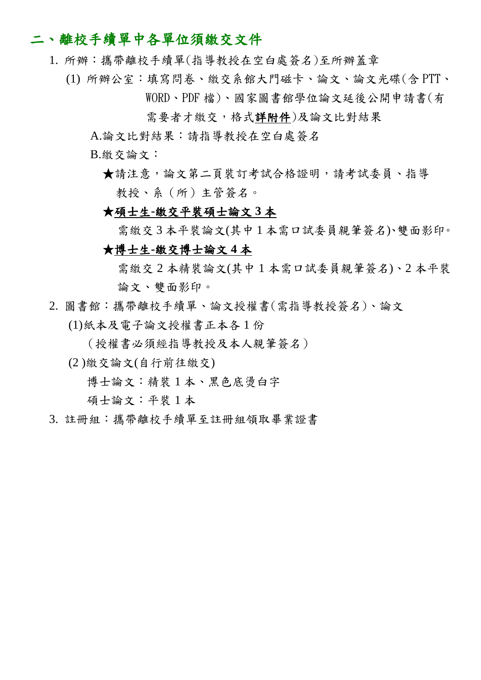### 二、離校手續單中各單位須繳交文件

- 1. 所辦:攜帶離校手續單(指導教授在空白處簽名)至所辦蓋章
	- (1) 所辦公室:填寫問卷、繳交系館大門磁卡、論文、論文光碟(含 PTT、 WORD、PDF 檔)、國家圖書館學位論文延後公開申請書(有
		- 需要者才繳交,格式詳附件)及論文比對結果
		- A.論文比對結果:請指導教授在空白處簽名
		- B.繳交論文:
			- ★請注意,論文第二頁裝訂考試合格證明,請考試委員、指導 教授、系(所)主管簽名。

#### ★碩士生**-**繳交平裝碩士論文 **3** 本

需繳交 3 本平裝論文(其中 1 本需口試委員親筆簽名)、雙面影印。

#### ★博士生**-**繳交博士論文 **4** 本

 需繳交 2 本精裝論文(其中 1 本需口試委員親筆簽名)、2 本平裝 論文、雙面影印。

2. 圖書館:攜帶離校手續單、論文授權書(需指導教授簽名)、論文

(1)紙本及電子論文授權書正本各 1 份

- (授權書必須經指導教授及本人親筆簽名)
- (2 )繳交論文(自行前往繳交)
	- 博士論文:精裝1本、黑色底湯白字

碩士論文:平裝 1 本

3. 註冊組:攜帶離校手續單至註冊組領取畢業證書